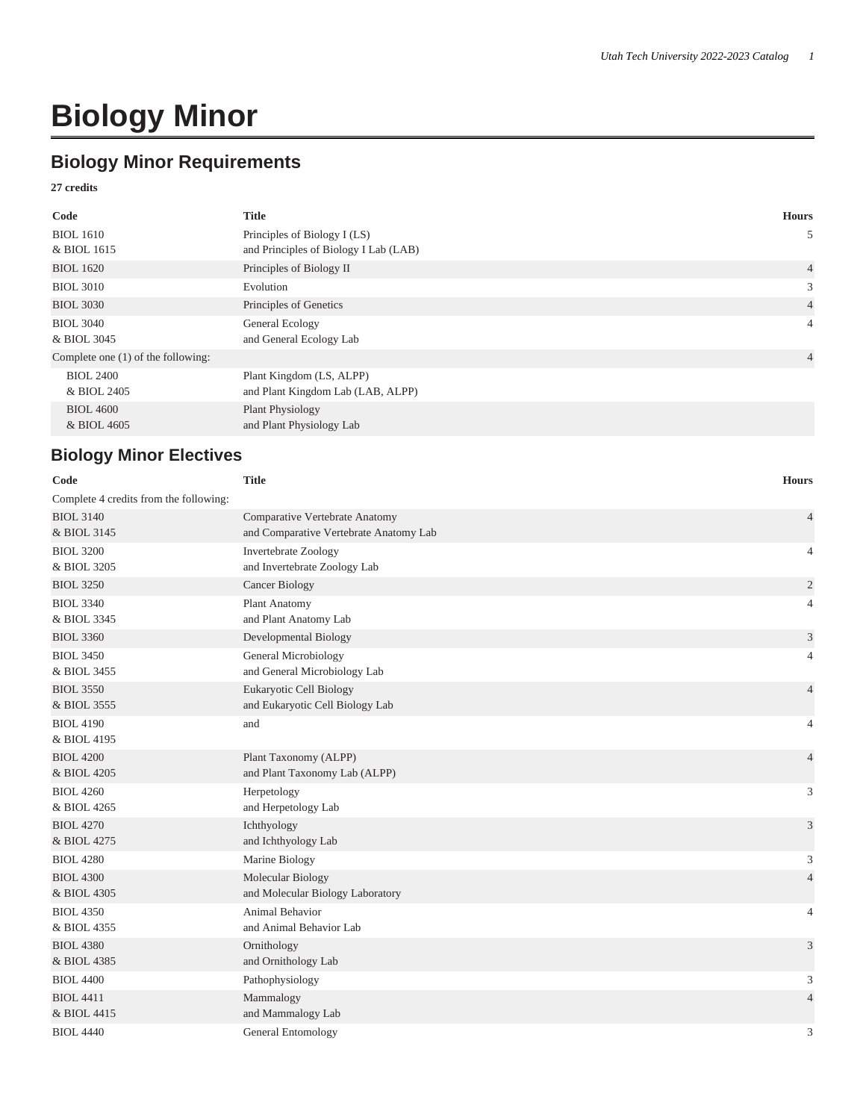# **Biology Minor**

## **Biology Minor Requirements**

#### **27 credits**

| Code                                 | <b>Title</b>                          | <b>Hours</b>   |
|--------------------------------------|---------------------------------------|----------------|
| <b>BIOL 1610</b>                     | Principles of Biology I (LS)          | 5              |
| & BIOL 1615                          | and Principles of Biology I Lab (LAB) |                |
| <b>BIOL 1620</b>                     | Principles of Biology II              | $\overline{4}$ |
| <b>BIOL 3010</b>                     | Evolution                             | 3              |
| <b>BIOL 3030</b>                     | Principles of Genetics                | $\overline{4}$ |
| <b>BIOL 3040</b>                     | General Ecology                       | $\overline{4}$ |
| & BIOL 3045                          | and General Ecology Lab               |                |
| Complete one $(1)$ of the following: |                                       | $\overline{4}$ |
| <b>BIOL 2400</b>                     | Plant Kingdom (LS, ALPP)              |                |
| & BIOL 2405                          | and Plant Kingdom Lab (LAB, ALPP)     |                |
| <b>BIOL 4600</b>                     | Plant Physiology                      |                |
| & BIOL 4605                          | and Plant Physiology Lab              |                |

## **Biology Minor Electives**

| Code                                   | <b>Title</b>                                                             | <b>Hours</b>   |
|----------------------------------------|--------------------------------------------------------------------------|----------------|
| Complete 4 credits from the following: |                                                                          |                |
| <b>BIOL 3140</b><br>& BIOL 3145        | Comparative Vertebrate Anatomy<br>and Comparative Vertebrate Anatomy Lab | $\overline{4}$ |
| <b>BIOL 3200</b><br>& BIOL 3205        | Invertebrate Zoology<br>and Invertebrate Zoology Lab                     | $\overline{4}$ |
| <b>BIOL 3250</b>                       | Cancer Biology                                                           | $\mathfrak{2}$ |
| <b>BIOL 3340</b><br>& BIOL 3345        | Plant Anatomy<br>and Plant Anatomy Lab                                   | $\overline{4}$ |
| <b>BIOL 3360</b>                       | Developmental Biology                                                    | $\mathfrak{Z}$ |
| <b>BIOL 3450</b><br>& BIOL 3455        | General Microbiology<br>and General Microbiology Lab                     | $\overline{4}$ |
| <b>BIOL 3550</b><br>& BIOL 3555        | Eukaryotic Cell Biology<br>and Eukaryotic Cell Biology Lab               | $\overline{4}$ |
| <b>BIOL 4190</b><br>& BIOL 4195        | and                                                                      | $\overline{4}$ |
| <b>BIOL 4200</b><br>& BIOL 4205        | Plant Taxonomy (ALPP)<br>and Plant Taxonomy Lab (ALPP)                   | $\overline{4}$ |
| <b>BIOL 4260</b><br>& BIOL 4265        | Herpetology<br>and Herpetology Lab                                       | 3              |
| <b>BIOL 4270</b><br>& BIOL 4275        | Ichthyology<br>and Ichthyology Lab                                       | 3              |
| <b>BIOL 4280</b>                       | Marine Biology                                                           | 3              |
| <b>BIOL 4300</b><br>& BIOL 4305        | Molecular Biology<br>and Molecular Biology Laboratory                    | $\overline{4}$ |
| <b>BIOL 4350</b><br>& BIOL 4355        | Animal Behavior<br>and Animal Behavior Lab                               | $\overline{4}$ |
| <b>BIOL 4380</b><br>& BIOL 4385        | Ornithology<br>and Ornithology Lab                                       | 3              |
| <b>BIOL 4400</b>                       | Pathophysiology                                                          | $\mathfrak{Z}$ |
| <b>BIOL 4411</b><br>& BIOL 4415        | Mammalogy<br>and Mammalogy Lab                                           | $\overline{4}$ |
| <b>BIOL 4440</b>                       | General Entomology                                                       | 3              |